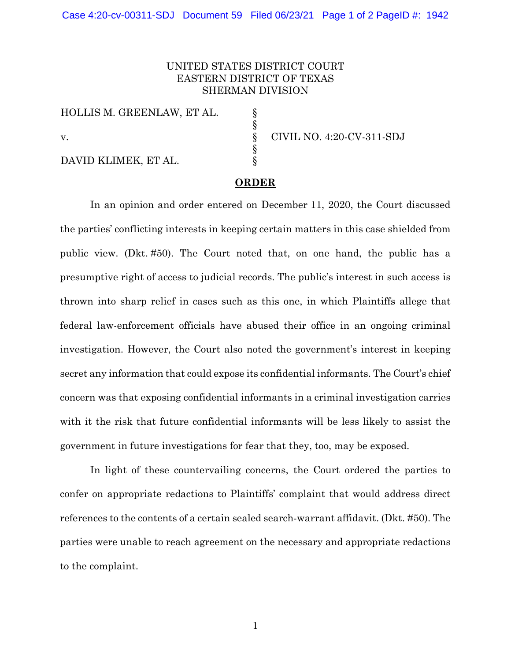## UNITED STATES DISTRICT COURT EASTERN DISTRICT OF TEXAS SHERMAN DIVISION

§ § § § §

HOLLIS M. GREENLAW, ET AL. v. DAVID KLIMEK, ET AL.

CIVIL NO. 4:20-CV-311-SDJ

## **ORDER**

In an opinion and order entered on December 11, 2020, the Court discussed the parties' conflicting interests in keeping certain matters in this case shielded from public view. (Dkt. #50). The Court noted that, on one hand, the public has a presumptive right of access to judicial records. The public's interest in such access is thrown into sharp relief in cases such as this one, in which Plaintiffs allege that federal law-enforcement officials have abused their office in an ongoing criminal investigation. However, the Court also noted the government's interest in keeping secret any information that could expose its confidential informants. The Court's chief concern was that exposing confidential informants in a criminal investigation carries with it the risk that future confidential informants will be less likely to assist the government in future investigations for fear that they, too, may be exposed.

In light of these countervailing concerns, the Court ordered the parties to confer on appropriate redactions to Plaintiffs' complaint that would address direct references to the contents of a certain sealed search-warrant affidavit. (Dkt. #50). The parties were unable to reach agreement on the necessary and appropriate redactions to the complaint.

1